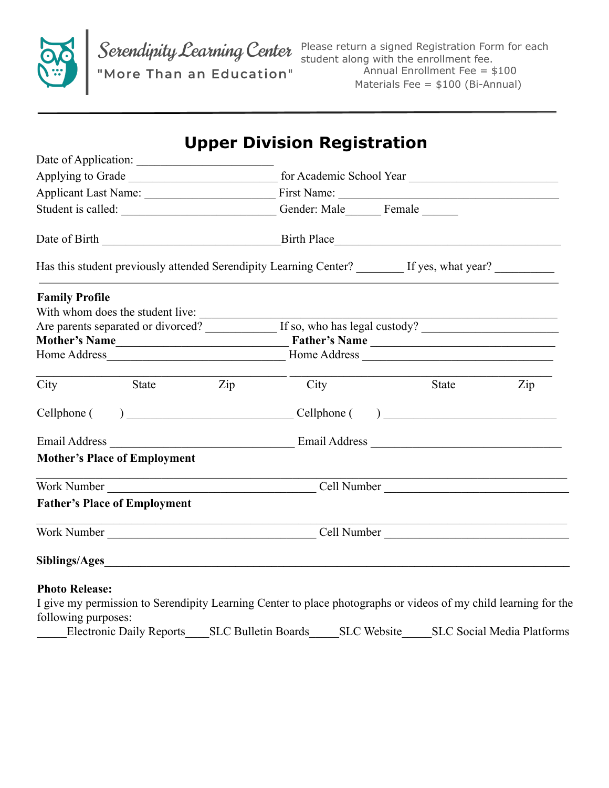

Please return a signed Registration Form for each student along with the enrollment fee. Annual Enrollment Fee = \$100 Materials Fee = \$100 (Bi-Annual)

|                                                                                                                 |                                                                                                                         | <b>Upper Division Registration</b>                               |                             |                                   |  |  |                                                                                                      |  |  |  |  |  |  |
|-----------------------------------------------------------------------------------------------------------------|-------------------------------------------------------------------------------------------------------------------------|------------------------------------------------------------------|-----------------------------|-----------------------------------|--|--|------------------------------------------------------------------------------------------------------|--|--|--|--|--|--|
| Date of Application:                                                                                            |                                                                                                                         |                                                                  |                             |                                   |  |  |                                                                                                      |  |  |  |  |  |  |
|                                                                                                                 |                                                                                                                         | Student is called: Called: Conder: Male Female                   |                             |                                   |  |  |                                                                                                      |  |  |  |  |  |  |
|                                                                                                                 |                                                                                                                         |                                                                  |                             |                                   |  |  |                                                                                                      |  |  |  |  |  |  |
|                                                                                                                 |                                                                                                                         |                                                                  |                             |                                   |  |  | Has this student previously attended Serendipity Learning Center? _______ If yes, what year? _______ |  |  |  |  |  |  |
| <b>Family Profile</b>                                                                                           |                                                                                                                         |                                                                  |                             |                                   |  |  |                                                                                                      |  |  |  |  |  |  |
| With whom does the student live:                                                                                |                                                                                                                         |                                                                  |                             |                                   |  |  |                                                                                                      |  |  |  |  |  |  |
|                                                                                                                 |                                                                                                                         | Are parents separated or divorced? If so, who has legal custody? |                             |                                   |  |  |                                                                                                      |  |  |  |  |  |  |
| Mother's Name                                                                                                   |                                                                                                                         | Father's Name                                                    |                             |                                   |  |  |                                                                                                      |  |  |  |  |  |  |
|                                                                                                                 |                                                                                                                         |                                                                  |                             |                                   |  |  |                                                                                                      |  |  |  |  |  |  |
| City                                                                                                            | State<br>$\mathop{\mathrm {Zip}}\nolimits$                                                                              | City                                                             | State                       | Zip                               |  |  |                                                                                                      |  |  |  |  |  |  |
| Cellphone (                                                                                                     |                                                                                                                         |                                                                  | $\frac{1}{2}$ Cellphone ( ) |                                   |  |  |                                                                                                      |  |  |  |  |  |  |
|                                                                                                                 |                                                                                                                         |                                                                  |                             |                                   |  |  |                                                                                                      |  |  |  |  |  |  |
| <b>Mother's Place of Employment</b>                                                                             |                                                                                                                         |                                                                  |                             |                                   |  |  |                                                                                                      |  |  |  |  |  |  |
|                                                                                                                 |                                                                                                                         |                                                                  |                             |                                   |  |  |                                                                                                      |  |  |  |  |  |  |
| <b>Father's Place of Employment</b>                                                                             |                                                                                                                         |                                                                  |                             |                                   |  |  |                                                                                                      |  |  |  |  |  |  |
|                                                                                                                 | <u> 1989 - Johann Stoff, deutscher Stoffen und der Stoffen und der Stoffen und der Stoffen und der Stoffen und der </u> |                                                                  |                             |                                   |  |  |                                                                                                      |  |  |  |  |  |  |
|                                                                                                                 |                                                                                                                         |                                                                  |                             |                                   |  |  |                                                                                                      |  |  |  |  |  |  |
| <b>Photo Release:</b>                                                                                           |                                                                                                                         |                                                                  |                             |                                   |  |  |                                                                                                      |  |  |  |  |  |  |
| I give my permission to Serendipity Learning Center to place photographs or videos of my child learning for the |                                                                                                                         |                                                                  |                             |                                   |  |  |                                                                                                      |  |  |  |  |  |  |
| following purposes:                                                                                             |                                                                                                                         |                                                                  |                             |                                   |  |  |                                                                                                      |  |  |  |  |  |  |
| <b>Electronic Daily Reports</b>                                                                                 |                                                                                                                         | <b>SLC Bulletin Boards</b>                                       | <b>SLC</b> Website          | <b>SLC Social Media Platforms</b> |  |  |                                                                                                      |  |  |  |  |  |  |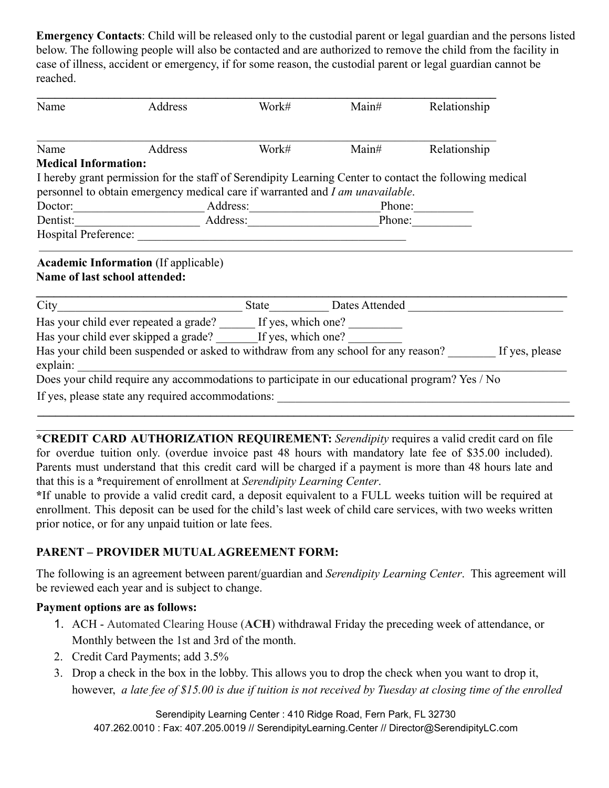**Emergency Contacts**: Child will be released only to the custodial parent or legal guardian and the persons listed below. The following people will also be contacted and are authorized to remove the child from the facility in case of illness, accident or emergency, if for some reason, the custodial parent or legal guardian cannot be reached.

| Name                        | Address                                                                                                                                                                                  | Work#                                                                                                                    | Main# | Relationship                                                                                      |
|-----------------------------|------------------------------------------------------------------------------------------------------------------------------------------------------------------------------------------|--------------------------------------------------------------------------------------------------------------------------|-------|---------------------------------------------------------------------------------------------------|
| Name                        | Address                                                                                                                                                                                  | Work#                                                                                                                    | Main# | Relationship                                                                                      |
| <b>Medical Information:</b> |                                                                                                                                                                                          |                                                                                                                          |       |                                                                                                   |
|                             | I hereby grant permission for the staff of Serendipity Learning Center to contact the following medical<br>personnel to obtain emergency medical care if warranted and I am unavailable. |                                                                                                                          |       |                                                                                                   |
| Doctor:                     |                                                                                                                                                                                          | Address: Phone: Phone:                                                                                                   |       |                                                                                                   |
| Dentist:                    |                                                                                                                                                                                          | Address: Andreas Address Address and Address and Address and Address and Address and Address and Address and A<br>Phone: |       |                                                                                                   |
|                             |                                                                                                                                                                                          |                                                                                                                          |       |                                                                                                   |
|                             | <b>Academic Information</b> (If applicable)<br><b>Name of last school attended:</b>                                                                                                      |                                                                                                                          |       |                                                                                                   |
| City                        |                                                                                                                                                                                          |                                                                                                                          |       | State Dates Attended                                                                              |
|                             | Has your child ever repeated a grade? ______ If yes, which one? _________                                                                                                                |                                                                                                                          |       |                                                                                                   |
|                             | Has your child ever skipped a grade? If yes, which one?                                                                                                                                  |                                                                                                                          |       |                                                                                                   |
| explain:                    |                                                                                                                                                                                          |                                                                                                                          |       | Has your child been suspended or asked to withdraw from any school for any reason? If yes, please |
|                             | Does your child require any accommodations to participate in our educational program? Yes / No                                                                                           |                                                                                                                          |       |                                                                                                   |
|                             | If yes, please state any required accommodations:                                                                                                                                        |                                                                                                                          |       |                                                                                                   |

**\*CREDIT CARD AUTHORIZATION REQUIREMENT:** *Serendipity* requires a valid credit card on file for overdue tuition only. (overdue invoice past 48 hours with mandatory late fee of \$35.00 included). Parents must understand that this credit card will be charged if a payment is more than 48 hours late and that this is a **\***requirement of enrollment at *Serendipity Learning Center*.

 $\mathcal{L}_\mathcal{L} = \{ \mathcal{L}_\mathcal{L} = \{ \mathcal{L}_\mathcal{L} = \{ \mathcal{L}_\mathcal{L} = \{ \mathcal{L}_\mathcal{L} = \{ \mathcal{L}_\mathcal{L} = \{ \mathcal{L}_\mathcal{L} = \{ \mathcal{L}_\mathcal{L} = \{ \mathcal{L}_\mathcal{L} = \{ \mathcal{L}_\mathcal{L} = \{ \mathcal{L}_\mathcal{L} = \{ \mathcal{L}_\mathcal{L} = \{ \mathcal{L}_\mathcal{L} = \{ \mathcal{L}_\mathcal{L} = \{ \mathcal{L}_\mathcal{$  $\mathcal{L}_\mathcal{L} = \mathcal{L}_\mathcal{L} = \mathcal{L}_\mathcal{L} = \mathcal{L}_\mathcal{L} = \mathcal{L}_\mathcal{L} = \mathcal{L}_\mathcal{L} = \mathcal{L}_\mathcal{L} = \mathcal{L}_\mathcal{L} = \mathcal{L}_\mathcal{L} = \mathcal{L}_\mathcal{L} = \mathcal{L}_\mathcal{L} = \mathcal{L}_\mathcal{L} = \mathcal{L}_\mathcal{L} = \mathcal{L}_\mathcal{L} = \mathcal{L}_\mathcal{L} = \mathcal{L}_\mathcal{L} = \mathcal{L}_\mathcal{L}$ 

**\***If unable to provide a valid credit card, a deposit equivalent to a FULL weeks tuition will be required at enrollment. This deposit can be used for the child's last week of child care services, with two weeks written prior notice, or for any unpaid tuition or late fees.

# **PARENT – PROVIDER MUTUAL AGREEMENT FORM:**

The following is an agreement between parent/guardian and *Serendipity Learning Center*. This agreement will be reviewed each year and is subject to change.

### **Payment options are as follows:**

- 1. ACH Automated Clearing House (**ACH**) withdrawal Friday the preceding week of attendance, or Monthly between the 1st and 3rd of the month.
- 2. Credit Card Payments; add 3.5%
- 3. Drop a check in the box in the lobby. This allows you to drop the check when you want to drop it, however, *a late fee of \$15.00 is due if tuition is not received by Tuesday at closing time of the enrolled*

Serendipity Learning Center : 410 Ridge Road, Fern Park, FL 32730 407.262.0010 : Fax: 407.205.0019 // SerendipityLearning.Center // Director@SerendipityLC.com